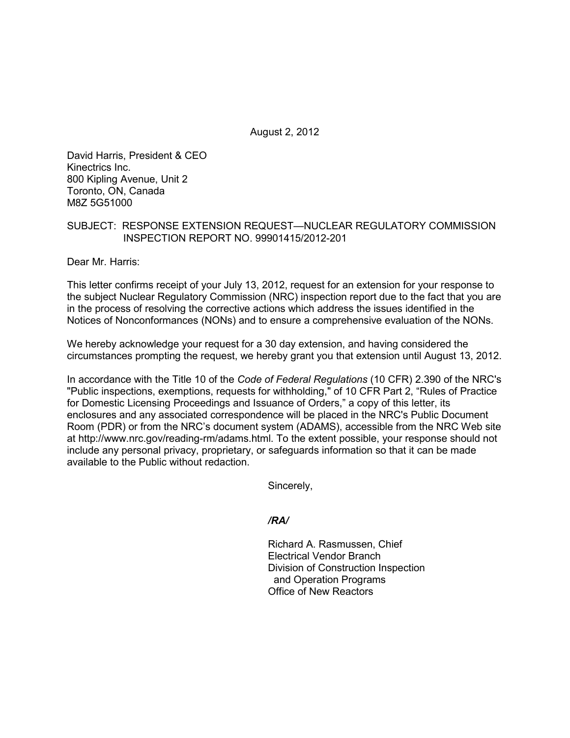August 2, 2012

David Harris, President & CEO Kinectrics Inc. 800 Kipling Avenue, Unit 2 Toronto, ON, Canada M8Z 5G51000

## SUBJECT: RESPONSE EXTENSION REQUEST—NUCLEAR REGULATORY COMMISSION INSPECTION REPORT NO. 99901415/2012-201

Dear Mr. Harris:

This letter confirms receipt of your July 13, 2012, request for an extension for your response to the subject Nuclear Regulatory Commission (NRC) inspection report due to the fact that you are in the process of resolving the corrective actions which address the issues identified in the Notices of Nonconformances (NONs) and to ensure a comprehensive evaluation of the NONs.

We hereby acknowledge your request for a 30 day extension, and having considered the circumstances prompting the request, we hereby grant you that extension until August 13, 2012.

In accordance with the Title 10 of the *Code of Federal Regulations* (10 CFR) 2.390 of the NRC's "Public inspections, exemptions, requests for withholding," of 10 CFR Part 2, "Rules of Practice for Domestic Licensing Proceedings and Issuance of Orders," a copy of this letter, its enclosures and any associated correspondence will be placed in the NRC's Public Document Room (PDR) or from the NRC's document system (ADAMS), accessible from the NRC Web site at http://www.nrc.gov/reading-rm/adams.html. To the extent possible, your response should not include any personal privacy, proprietary, or safeguards information so that it can be made available to the Public without redaction.

Sincerely,

*/RA/* 

Richard A. Rasmussen, Chief Electrical Vendor Branch Division of Construction Inspection and Operation Programs Office of New Reactors